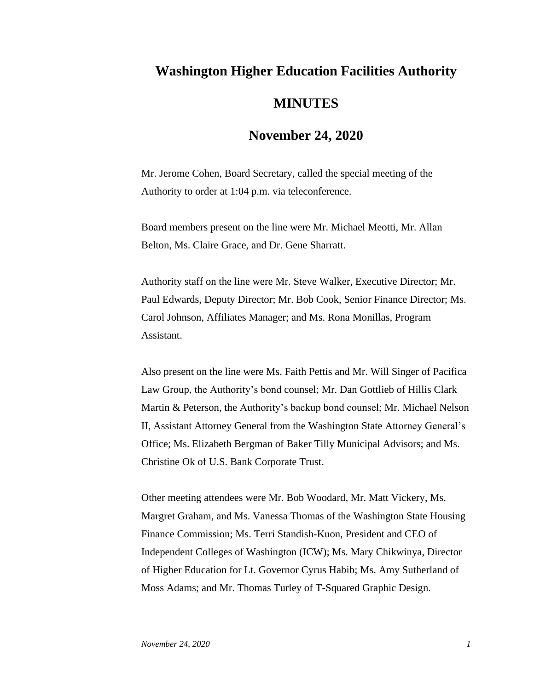## **Washington Higher Education Facilities Authority MINUTES**

## **November 24, 2020**

Mr. Jerome Cohen, Board Secretary, called the special meeting of the Authority to order at 1:04 p.m. via teleconference.

Board members present on the line were Mr. Michael Meotti, Mr. Allan Belton, Ms. Claire Grace, and Dr. Gene Sharratt.

Authority staff on the line were Mr. Steve Walker, Executive Director; Mr. Paul Edwards, Deputy Director; Mr. Bob Cook, Senior Finance Director; Ms. Carol Johnson, Affiliates Manager; and Ms. Rona Monillas, Program Assistant.

Also present on the line were Ms. Faith Pettis and Mr. Will Singer of Pacifica Law Group, the Authority's bond counsel; Mr. Dan Gottlieb of Hillis Clark Martin & Peterson, the Authority's backup bond counsel; Mr. Michael Nelson II, Assistant Attorney General from the Washington State Attorney General's Office; Ms. Elizabeth Bergman of Baker Tilly Municipal Advisors; and Ms. Christine Ok of U.S. Bank Corporate Trust.

Other meeting attendees were Mr. Bob Woodard, Mr. Matt Vickery, Ms. Margret Graham, and Ms. Vanessa Thomas of the Washington State Housing Finance Commission; Ms. Terri Standish-Kuon, President and CEO of Independent Colleges of Washington (ICW); Ms. Mary Chikwinya, Director of Higher Education for Lt. Governor Cyrus Habib; Ms. Amy Sutherland of Moss Adams; and Mr. Thomas Turley of T-Squared Graphic Design.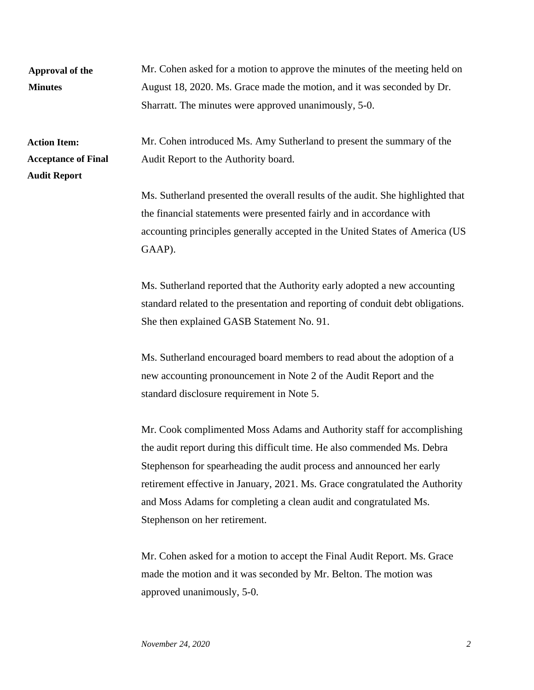| Approval of the<br><b>Minutes</b>                                        | Mr. Cohen asked for a motion to approve the minutes of the meeting held on<br>August 18, 2020. Ms. Grace made the motion, and it was seconded by Dr.<br>Sharratt. The minutes were approved unanimously, 5-0.                                                                                                                                                                                                     |
|--------------------------------------------------------------------------|-------------------------------------------------------------------------------------------------------------------------------------------------------------------------------------------------------------------------------------------------------------------------------------------------------------------------------------------------------------------------------------------------------------------|
| <b>Action Item:</b><br><b>Acceptance of Final</b><br><b>Audit Report</b> | Mr. Cohen introduced Ms. Amy Sutherland to present the summary of the<br>Audit Report to the Authority board.                                                                                                                                                                                                                                                                                                     |
|                                                                          | Ms. Sutherland presented the overall results of the audit. She highlighted that<br>the financial statements were presented fairly and in accordance with<br>accounting principles generally accepted in the United States of America (US<br>GAAP).                                                                                                                                                                |
|                                                                          | Ms. Sutherland reported that the Authority early adopted a new accounting<br>standard related to the presentation and reporting of conduit debt obligations.<br>She then explained GASB Statement No. 91.                                                                                                                                                                                                         |
|                                                                          | Ms. Sutherland encouraged board members to read about the adoption of a<br>new accounting pronouncement in Note 2 of the Audit Report and the<br>standard disclosure requirement in Note 5.                                                                                                                                                                                                                       |
|                                                                          | Mr. Cook complimented Moss Adams and Authority staff for accomplishing<br>the audit report during this difficult time. He also commended Ms. Debra<br>Stephenson for spearheading the audit process and announced her early<br>retirement effective in January, 2021. Ms. Grace congratulated the Authority<br>and Moss Adams for completing a clean audit and congratulated Ms.<br>Stephenson on her retirement. |
|                                                                          | Mr. Cohen asked for a motion to accept the Final Audit Report. Ms. Grace<br>made the motion and it was seconded by Mr. Belton. The motion was<br>approved unanimously, 5-0.                                                                                                                                                                                                                                       |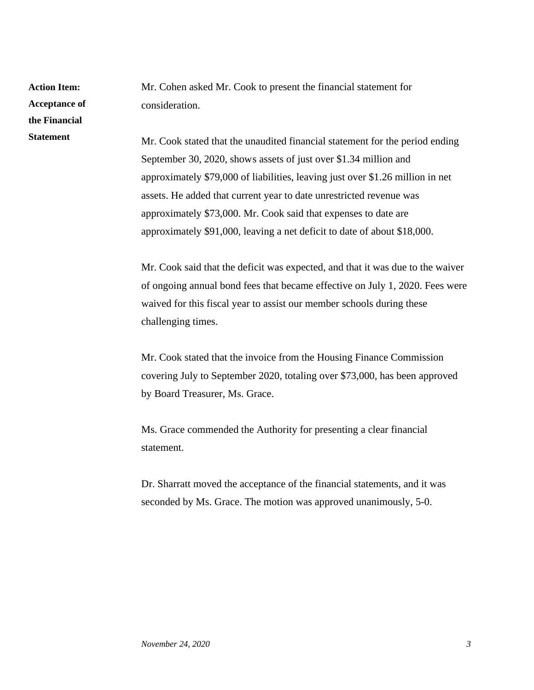**Action Item: Acceptance of the Financial Statement**

Mr. Cohen asked Mr. Cook to present the financial statement for consideration.

Mr. Cook stated that the unaudited financial statement for the period ending September 30, 2020, shows assets of just over \$1.34 million and approximately \$79,000 of liabilities, leaving just over \$1.26 million in net assets. He added that current year to date unrestricted revenue was approximately \$73,000. Mr. Cook said that expenses to date are approximately \$91,000, leaving a net deficit to date of about \$18,000.

Mr. Cook said that the deficit was expected, and that it was due to the waiver of ongoing annual bond fees that became effective on July 1, 2020. Fees were waived for this fiscal year to assist our member schools during these challenging times.

Mr. Cook stated that the invoice from the Housing Finance Commission covering July to September 2020, totaling over \$73,000, has been approved by Board Treasurer, Ms. Grace.

Ms. Grace commended the Authority for presenting a clear financial statement.

Dr. Sharratt moved the acceptance of the financial statements, and it was seconded by Ms. Grace. The motion was approved unanimously, 5-0.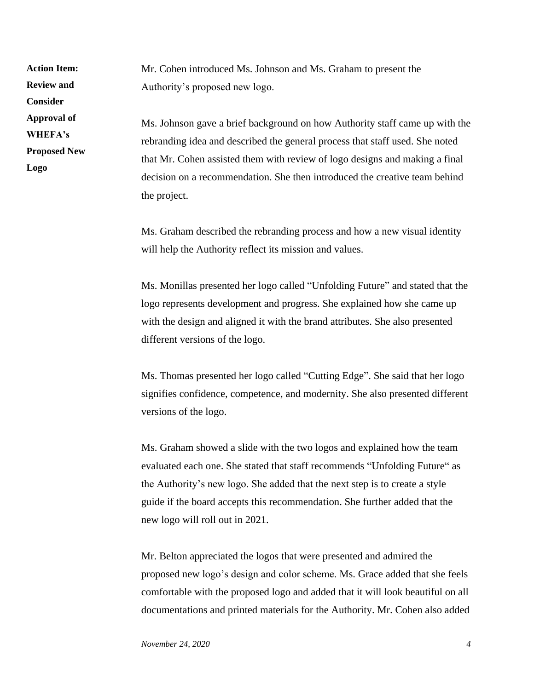**Action Item: Review and Consider Approval of WHEFA's Proposed New Logo**

Mr. Cohen introduced Ms. Johnson and Ms. Graham to present the Authority's proposed new logo.

Ms. Johnson gave a brief background on how Authority staff came up with the rebranding idea and described the general process that staff used. She noted that Mr. Cohen assisted them with review of logo designs and making a final decision on a recommendation. She then introduced the creative team behind the project.

Ms. Graham described the rebranding process and how a new visual identity will help the Authority reflect its mission and values.

Ms. Monillas presented her logo called "Unfolding Future" and stated that the logo represents development and progress. She explained how she came up with the design and aligned it with the brand attributes. She also presented different versions of the logo.

Ms. Thomas presented her logo called "Cutting Edge". She said that her logo signifies confidence, competence, and modernity. She also presented different versions of the logo.

Ms. Graham showed a slide with the two logos and explained how the team evaluated each one. She stated that staff recommends "Unfolding Future" as the Authority's new logo. She added that the next step is to create a style guide if the board accepts this recommendation. She further added that the new logo will roll out in 2021.

Mr. Belton appreciated the logos that were presented and admired the proposed new logo's design and color scheme. Ms. Grace added that she feels comfortable with the proposed logo and added that it will look beautiful on all documentations and printed materials for the Authority. Mr. Cohen also added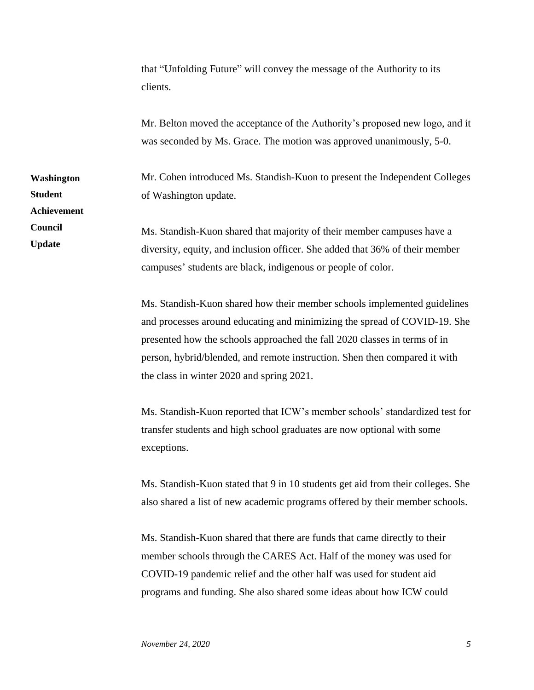that "Unfolding Future" will convey the message of the Authority to its clients. Mr. Belton moved the acceptance of the Authority's proposed new logo, and it was seconded by Ms. Grace. The motion was approved unanimously, 5-0. Mr. Cohen introduced Ms. Standish-Kuon to present the Independent Colleges of Washington update. Ms. Standish-Kuon shared that majority of their member campuses have a diversity, equity, and inclusion officer. She added that 36% of their member campuses' students are black, indigenous or people of color. **Washington Student Achievement Council Update**

> Ms. Standish-Kuon shared how their member schools implemented guidelines and processes around educating and minimizing the spread of COVID-19. She presented how the schools approached the fall 2020 classes in terms of in person, hybrid/blended, and remote instruction. Shen then compared it with the class in winter 2020 and spring 2021.

> Ms. Standish-Kuon reported that ICW's member schools' standardized test for transfer students and high school graduates are now optional with some exceptions.

> Ms. Standish-Kuon stated that 9 in 10 students get aid from their colleges. She also shared a list of new academic programs offered by their member schools.

Ms. Standish-Kuon shared that there are funds that came directly to their member schools through the CARES Act. Half of the money was used for COVID-19 pandemic relief and the other half was used for student aid programs and funding. She also shared some ideas about how ICW could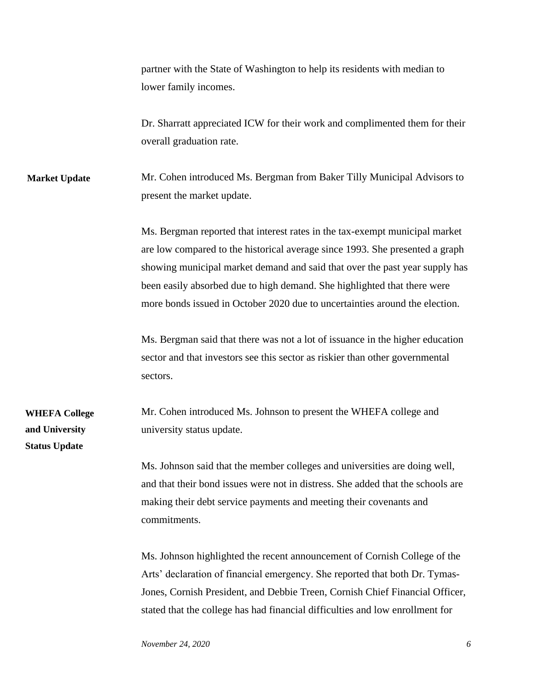partner with the State of Washington to help its residents with median to lower family incomes.

Dr. Sharratt appreciated ICW for their work and complimented them for their overall graduation rate.

Mr. Cohen introduced Ms. Bergman from Baker Tilly Municipal Advisors to present the market update. **Market Update**

> Ms. Bergman reported that interest rates in the tax-exempt municipal market are low compared to the historical average since 1993. She presented a graph showing municipal market demand and said that over the past year supply has been easily absorbed due to high demand. She highlighted that there were more bonds issued in October 2020 due to uncertainties around the election.

Ms. Bergman said that there was not a lot of issuance in the higher education sector and that investors see this sector as riskier than other governmental sectors.

Mr. Cohen introduced Ms. Johnson to present the WHEFA college and university status update.

> Ms. Johnson said that the member colleges and universities are doing well, and that their bond issues were not in distress. She added that the schools are making their debt service payments and meeting their covenants and commitments.

Ms. Johnson highlighted the recent announcement of Cornish College of the Arts' declaration of financial emergency. She reported that both Dr. Tymas-Jones, Cornish President, and Debbie Treen, Cornish Chief Financial Officer, stated that the college has had financial difficulties and low enrollment for

**WHEFA College** 

**and University Status Update**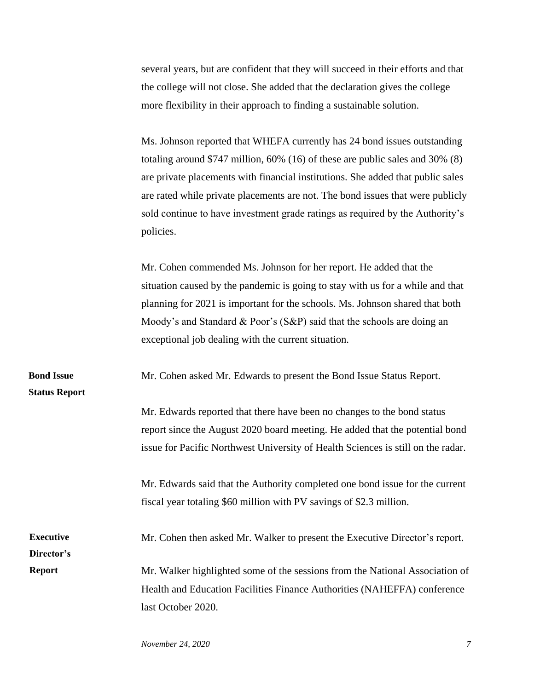several years, but are confident that they will succeed in their efforts and that the college will not close. She added that the declaration gives the college more flexibility in their approach to finding a sustainable solution.

Ms. Johnson reported that WHEFA currently has 24 bond issues outstanding totaling around \$747 million, 60% (16) of these are public sales and 30% (8) are private placements with financial institutions. She added that public sales are rated while private placements are not. The bond issues that were publicly sold continue to have investment grade ratings as required by the Authority's policies.

Mr. Cohen commended Ms. Johnson for her report. He added that the situation caused by the pandemic is going to stay with us for a while and that planning for 2021 is important for the schools. Ms. Johnson shared that both Moody's and Standard & Poor's (S&P) said that the schools are doing an exceptional job dealing with the current situation.

Mr. Cohen asked Mr. Edwards to present the Bond Issue Status Report. **Bond Issue** 

**Status Report**

Mr. Edwards reported that there have been no changes to the bond status report since the August 2020 board meeting. He added that the potential bond issue for Pacific Northwest University of Health Sciences is still on the radar.

Mr. Edwards said that the Authority completed one bond issue for the current fiscal year totaling \$60 million with PV savings of \$2.3 million.

Mr. Cohen then asked Mr. Walker to present the Executive Director's report. Mr. Walker highlighted some of the sessions from the National Association of Health and Education Facilities Finance Authorities (NAHEFFA) conference **Executive Director's Report**

last October 2020.